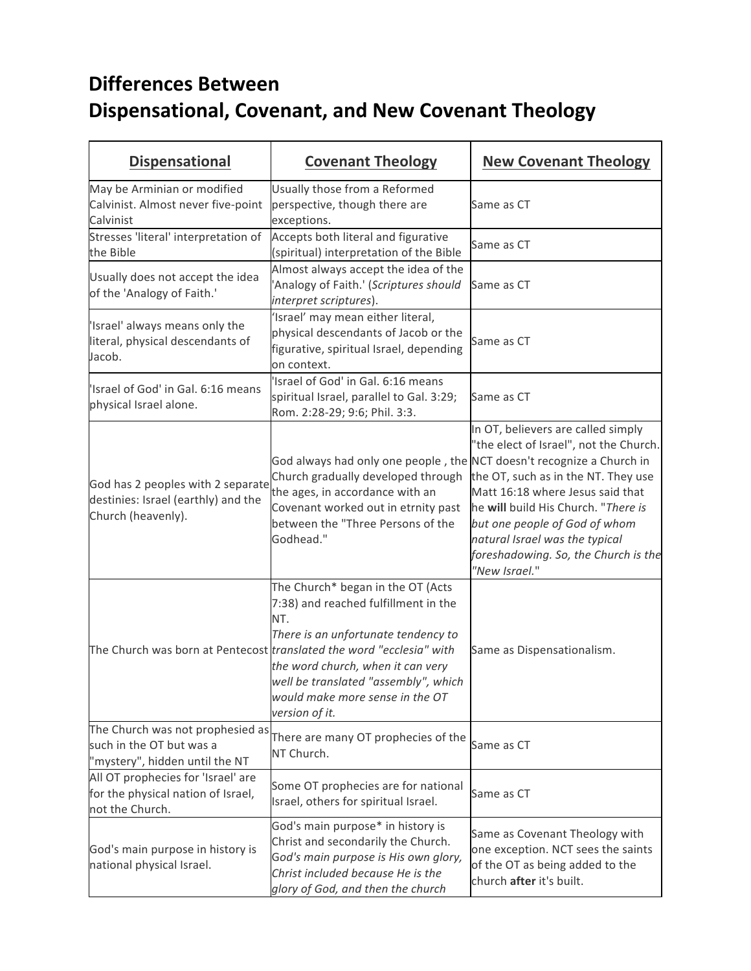## **Differences Between Dispensational, Covenant, and New Covenant Theology**

| <b>Dispensational</b>                                                                          | <b>Covenant Theology</b>                                                                                                                                                                                                                                                                                                                 | <b>New Covenant Theology</b>                                                                                                                                                                                                                                                                                               |
|------------------------------------------------------------------------------------------------|------------------------------------------------------------------------------------------------------------------------------------------------------------------------------------------------------------------------------------------------------------------------------------------------------------------------------------------|----------------------------------------------------------------------------------------------------------------------------------------------------------------------------------------------------------------------------------------------------------------------------------------------------------------------------|
| May be Arminian or modified<br>Calvinist. Almost never five-point<br>Calvinist                 | Usually those from a Reformed<br>perspective, though there are<br>exceptions.                                                                                                                                                                                                                                                            | Same as CT                                                                                                                                                                                                                                                                                                                 |
| Stresses 'literal' interpretation of<br>the Bible                                              | Accepts both literal and figurative<br>(spiritual) interpretation of the Bible                                                                                                                                                                                                                                                           | Same as CT                                                                                                                                                                                                                                                                                                                 |
| Usually does not accept the idea<br>of the 'Analogy of Faith.'                                 | Almost always accept the idea of the<br>'Analogy of Faith.' (Scriptures should<br>interpret scriptures).                                                                                                                                                                                                                                 | Same as CT                                                                                                                                                                                                                                                                                                                 |
| 'Israel' always means only the<br>literal, physical descendants of<br>Jacob.                   | 'Israel' may mean either literal,<br>physical descendants of Jacob or the<br>figurative, spiritual Israel, depending<br>on context.                                                                                                                                                                                                      | Same as CT                                                                                                                                                                                                                                                                                                                 |
| 'Israel of God' in Gal. 6:16 means<br>physical Israel alone.                                   | 'Israel of God' in Gal. 6:16 means<br>spiritual Israel, parallel to Gal. 3:29;<br>Rom. 2:28-29; 9:6; Phil. 3:3.                                                                                                                                                                                                                          | Same as CT                                                                                                                                                                                                                                                                                                                 |
| God has 2 peoples with 2 separate<br>destinies: Israel (earthly) and the<br>Church (heavenly). | God always had only one people, the NCT doesn't recognize a Church in<br>Church gradually developed through<br>the ages, in accordance with an<br>Covenant worked out in etrnity past<br>between the "Three Persons of the<br>Godhead."                                                                                                  | In OT, believers are called simply<br>"the elect of Israel", not the Church.<br>the OT, such as in the NT. They use<br>Matt 16:18 where Jesus said that<br>he will build His Church. "There is<br>but one people of God of whom<br>natural Israel was the typical<br>foreshadowing. So, the Church is the<br>"New Israel." |
|                                                                                                | The Church* began in the OT (Acts<br>7:38) and reached fulfillment in the<br>NT.<br>There is an unfortunate tendency to<br>The Church was born at Pentecost <i>translated the word "ecclesia" with</i><br>the word church, when it can very<br>well be translated "assembly", which<br>would make more sense in the OT<br>version of it. | Same as Dispensationalism.                                                                                                                                                                                                                                                                                                 |
| The Church was not prophesied as<br>such in the OT but was a<br>"mystery", hidden until the NT | There are many OT prophecies of the<br>NT Church.                                                                                                                                                                                                                                                                                        | Same as CT                                                                                                                                                                                                                                                                                                                 |
| All OT prophecies for 'Israel' are<br>for the physical nation of Israel,<br>not the Church.    | Some OT prophecies are for national<br>Israel, others for spiritual Israel.                                                                                                                                                                                                                                                              | Same as CT                                                                                                                                                                                                                                                                                                                 |
| God's main purpose in history is<br>national physical Israel.                                  | God's main purpose* in history is<br>Christ and secondarily the Church.<br>God's main purpose is His own glory,<br>Christ included because He is the<br>glory of God, and then the church                                                                                                                                                | Same as Covenant Theology with<br>one exception. NCT sees the saints<br>of the OT as being added to the<br>church after it's built.                                                                                                                                                                                        |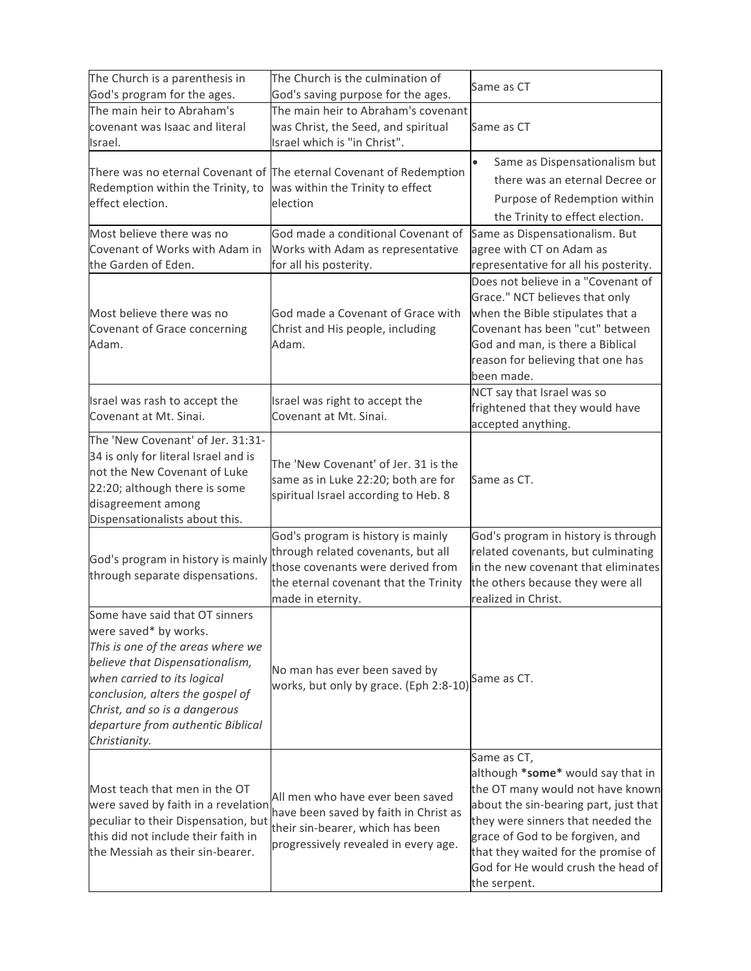| The Church is a parenthesis in<br>God's program for the ages.                                                                                                                                                                                                                             | The Church is the culmination of<br>God's saving purpose for the ages.                                                                                                      | Same as CT                                                                                                                                                                                                                                                                                          |
|-------------------------------------------------------------------------------------------------------------------------------------------------------------------------------------------------------------------------------------------------------------------------------------------|-----------------------------------------------------------------------------------------------------------------------------------------------------------------------------|-----------------------------------------------------------------------------------------------------------------------------------------------------------------------------------------------------------------------------------------------------------------------------------------------------|
| The main heir to Abraham's<br>covenant was Isaac and literal<br>Israel.                                                                                                                                                                                                                   | The main heir to Abraham's covenant<br>was Christ, the Seed, and spiritual<br>Israel which is "in Christ".                                                                  | Same as CT                                                                                                                                                                                                                                                                                          |
| Redemption within the Trinity, to<br>effect election.                                                                                                                                                                                                                                     | There was no eternal Covenant of The eternal Covenant of Redemption<br>was within the Trinity to effect<br>election                                                         | Same as Dispensationalism but<br>there was an eternal Decree or<br>Purpose of Redemption within<br>the Trinity to effect election.                                                                                                                                                                  |
| Most believe there was no<br>Covenant of Works with Adam in<br>the Garden of Eden.                                                                                                                                                                                                        | God made a conditional Covenant of<br>Works with Adam as representative<br>for all his posterity.                                                                           | Same as Dispensationalism. But<br>agree with CT on Adam as<br>representative for all his posterity.                                                                                                                                                                                                 |
| Most believe there was no<br>Covenant of Grace concerning<br>Adam.                                                                                                                                                                                                                        | God made a Covenant of Grace with<br>Christ and His people, including<br>Adam.                                                                                              | Does not believe in a "Covenant of<br>Grace." NCT believes that only<br>when the Bible stipulates that a<br>Covenant has been "cut" between<br>God and man, is there a Biblical<br>reason for believing that one has<br>been made.                                                                  |
| Israel was rash to accept the<br>Covenant at Mt. Sinai.                                                                                                                                                                                                                                   | Israel was right to accept the<br>Covenant at Mt. Sinai.                                                                                                                    | NCT say that Israel was so<br>frightened that they would have<br>accepted anything.                                                                                                                                                                                                                 |
| The 'New Covenant' of Jer. 31:31-<br>34 is only for literal Israel and is<br>not the New Covenant of Luke<br>22:20; although there is some<br>disagreement among<br>Dispensationalists about this.                                                                                        | The 'New Covenant' of Jer. 31 is the<br>same as in Luke 22:20; both are for<br>spiritual Israel according to Heb. 8                                                         | Same as CT.                                                                                                                                                                                                                                                                                         |
| God's program in history is mainly<br>through separate dispensations.                                                                                                                                                                                                                     | God's program is history is mainly<br>through related covenants, but all<br>those covenants were derived from<br>the eternal covenant that the Trinity<br>made in eternity. | God's program in history is through<br>related covenants, but culminating<br>in the new covenant that eliminates<br>the others because they were all<br>realized in Christ.                                                                                                                         |
| Some have said that OT sinners<br>were saved* by works.<br>This is one of the areas where we<br>believe that Dispensationalism,<br>when carried to its logical<br>conclusion, alters the gospel of<br>Christ, and so is a dangerous<br>departure from authentic Biblical<br>Christianity. | No man has ever been saved by<br>works, but only by grace. (Eph 2:8-10)                                                                                                     | Same as CT.                                                                                                                                                                                                                                                                                         |
| Most teach that men in the OT<br>were saved by faith in a revelation<br>peculiar to their Dispensation, but<br>this did not include their faith in<br>the Messiah as their sin-bearer.                                                                                                    | All men who have ever been saved<br>have been saved by faith in Christ as<br>their sin-bearer, which has been<br>progressively revealed in every age.                       | Same as CT,<br>although *some* would say that in<br>the OT many would not have known<br>about the sin-bearing part, just that<br>they were sinners that needed the<br>grace of God to be forgiven, and<br>that they waited for the promise of<br>God for He would crush the head of<br>the serpent. |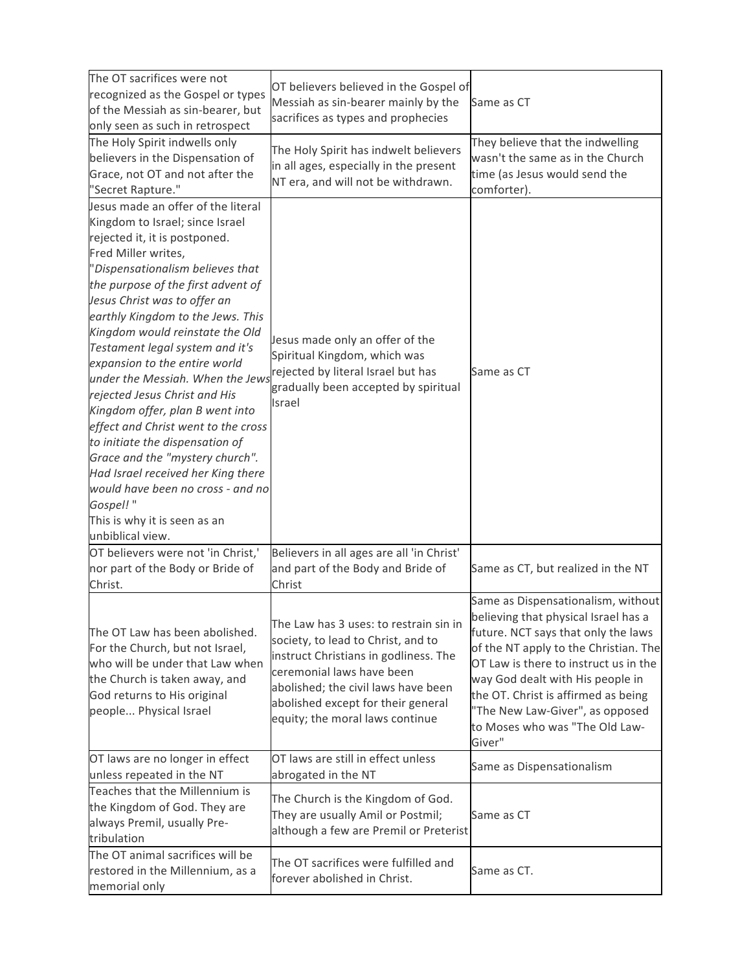| The OT sacrifices were not<br>recognized as the Gospel or types<br>of the Messiah as sin-bearer, but<br>only seen as such in retrospect<br>The Holy Spirit indwells only                                                                                                                                                                                                                                                                                                                                                                                                                                                                                                                                                                            | OT believers believed in the Gospel of<br>Messiah as sin-bearer mainly by the<br>sacrifices as types and prophecies<br>The Holy Spirit has indwelt believers                                                                                                       | Same as CT<br>They believe that the indwelling                                                                                                                                                                                                                                                                                                                |
|-----------------------------------------------------------------------------------------------------------------------------------------------------------------------------------------------------------------------------------------------------------------------------------------------------------------------------------------------------------------------------------------------------------------------------------------------------------------------------------------------------------------------------------------------------------------------------------------------------------------------------------------------------------------------------------------------------------------------------------------------------|--------------------------------------------------------------------------------------------------------------------------------------------------------------------------------------------------------------------------------------------------------------------|---------------------------------------------------------------------------------------------------------------------------------------------------------------------------------------------------------------------------------------------------------------------------------------------------------------------------------------------------------------|
| believers in the Dispensation of<br>Grace, not OT and not after the<br>"Secret Rapture."                                                                                                                                                                                                                                                                                                                                                                                                                                                                                                                                                                                                                                                            | in all ages, especially in the present<br>NT era, and will not be withdrawn.                                                                                                                                                                                       | wasn't the same as in the Church<br>time (as Jesus would send the<br>comforter).                                                                                                                                                                                                                                                                              |
| Jesus made an offer of the literal<br>Kingdom to Israel; since Israel<br>rejected it, it is postponed.<br>Fred Miller writes,<br>"Dispensationalism believes that<br>the purpose of the first advent of<br>Jesus Christ was to offer an<br>earthly Kingdom to the Jews. This<br>Kingdom would reinstate the Old<br>Testament legal system and it's<br>expansion to the entire world<br>under the Messiah. When the Jews<br>rejected Jesus Christ and His<br>Kingdom offer, plan B went into<br>effect and Christ went to the cross<br>to initiate the dispensation of<br>Grace and the "mystery church".<br>Had Israel received her King there<br>would have been no cross - and no<br>Gospel!"<br>This is why it is seen as an<br>unbiblical view. | Jesus made only an offer of the<br>Spiritual Kingdom, which was<br>rejected by literal Israel but has<br>gradually been accepted by spiritual<br>Israel                                                                                                            | Same as CT                                                                                                                                                                                                                                                                                                                                                    |
| OT believers were not 'in Christ,'<br>nor part of the Body or Bride of<br>Christ.                                                                                                                                                                                                                                                                                                                                                                                                                                                                                                                                                                                                                                                                   | Believers in all ages are all 'in Christ'<br>and part of the Body and Bride of<br>Christ                                                                                                                                                                           | Same as CT, but realized in the NT                                                                                                                                                                                                                                                                                                                            |
| The OT Law has been abolished.<br>For the Church, but not Israel,<br>who will be under that Law when<br>the Church is taken away, and<br>God returns to His original<br>people Physical Israel                                                                                                                                                                                                                                                                                                                                                                                                                                                                                                                                                      | The Law has 3 uses: to restrain sin in<br>society, to lead to Christ, and to<br>instruct Christians in godliness. The<br>ceremonial laws have been<br>abolished; the civil laws have been<br>abolished except for their general<br>equity; the moral laws continue | Same as Dispensationalism, without<br>believing that physical Israel has a<br>future. NCT says that only the laws<br>of the NT apply to the Christian. The<br>OT Law is there to instruct us in the<br>way God dealt with His people in<br>the OT. Christ is affirmed as being<br>"The New Law-Giver", as opposed<br>to Moses who was "The Old Law-<br>Giver" |
| OT laws are no longer in effect<br>unless repeated in the NT                                                                                                                                                                                                                                                                                                                                                                                                                                                                                                                                                                                                                                                                                        | OT laws are still in effect unless<br>abrogated in the NT                                                                                                                                                                                                          | Same as Dispensationalism                                                                                                                                                                                                                                                                                                                                     |
| Teaches that the Millennium is<br>the Kingdom of God. They are<br>always Premil, usually Pre-<br>tribulation                                                                                                                                                                                                                                                                                                                                                                                                                                                                                                                                                                                                                                        | The Church is the Kingdom of God.<br>They are usually Amil or Postmil;<br>although a few are Premil or Preterist                                                                                                                                                   | Same as CT                                                                                                                                                                                                                                                                                                                                                    |
| The OT animal sacrifices will be<br>restored in the Millennium, as a<br>memorial only                                                                                                                                                                                                                                                                                                                                                                                                                                                                                                                                                                                                                                                               | The OT sacrifices were fulfilled and<br>forever abolished in Christ.                                                                                                                                                                                               | Same as CT.                                                                                                                                                                                                                                                                                                                                                   |